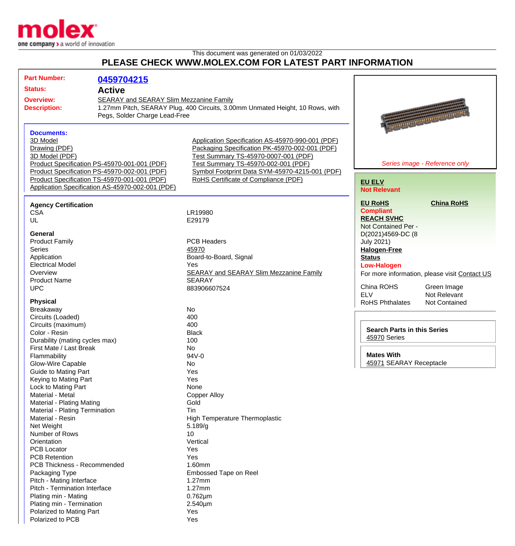

This document was generated on 01/03/2022

## **PLEASE CHECK WWW.MOLEX.COM FOR LATEST PART INFORMATION**

| <b>Part Number:</b>                                                                         | 0459704215                                                                                                                                                                                       |                                                                                                                                                                                                                                                                             |                                                                                                                                                                                                                                      |
|---------------------------------------------------------------------------------------------|--------------------------------------------------------------------------------------------------------------------------------------------------------------------------------------------------|-----------------------------------------------------------------------------------------------------------------------------------------------------------------------------------------------------------------------------------------------------------------------------|--------------------------------------------------------------------------------------------------------------------------------------------------------------------------------------------------------------------------------------|
| <b>Status:</b><br><b>Active</b>                                                             |                                                                                                                                                                                                  |                                                                                                                                                                                                                                                                             |                                                                                                                                                                                                                                      |
| <b>Overview:</b><br><b>Description:</b>                                                     | SEARAY and SEARAY Slim Mezzanine Family<br>1.27mm Pitch, SEARAY Plug, 400 Circuits, 3.00mm Unmated Height, 10 Rows, with<br>Pegs, Solder Charge Lead-Free                                        |                                                                                                                                                                                                                                                                             | <b>Representation of the Company of the Company of the Company of the Company of the Company of the Company of the Company of the Company of the Company of the Company of the Company of the Company of the Company of the Comp</b> |
| <b>Documents:</b><br>3D Model<br>Drawing (PDF)<br>3D Model (PDF)                            | Product Specification PS-45970-001-001 (PDF)<br>Product Specification PS-45970-002-001 (PDF)<br>Product Specification TS-45970-001-001 (PDF)<br>Application Specification AS-45970-002-001 (PDF) | Application Specification AS-45970-990-001 (PDF)<br>Packaging Specification PK-45970-002-001 (PDF)<br>Test Summary TS-45970-0007-001 (PDF)<br>Test Summary TS-45970-002-001 (PDF)<br>Symbol Footprint Data SYM-45970-4215-001 (PDF)<br>RoHS Certificate of Compliance (PDF) | Series image - Reference only<br><b>EU ELV</b><br><b>Not Relevant</b>                                                                                                                                                                |
| <b>Agency Certification</b><br><b>CSA</b><br>UL                                             |                                                                                                                                                                                                  | LR19980<br>E29179                                                                                                                                                                                                                                                           | <b>China RoHS</b><br><b>EU RoHS</b><br><b>Compliant</b><br><b>REACH SVHC</b><br>Not Contained Per -                                                                                                                                  |
| General<br><b>Product Family</b><br><b>Series</b><br>Application<br><b>Electrical Model</b> |                                                                                                                                                                                                  | <b>PCB Headers</b><br>45970<br>Board-to-Board, Signal<br>Yes                                                                                                                                                                                                                | D(2021)4569-DC (8<br><b>July 2021)</b><br><b>Halogen-Free</b><br><b>Status</b><br><b>Low-Halogen</b>                                                                                                                                 |
| Overview<br><b>Product Name</b><br><b>UPC</b>                                               |                                                                                                                                                                                                  | <b>SEARAY and SEARAY Slim Mezzanine Family</b><br><b>SEARAY</b><br>883906607524                                                                                                                                                                                             | For more information, please visit Contact US<br>China ROHS<br>Green Image<br><b>ELV</b><br>Not Relevant                                                                                                                             |
| <b>Physical</b><br>Breakaway<br>Circuits (Loaded)<br>Circuits (maximum)                     |                                                                                                                                                                                                  | No<br>400<br>400                                                                                                                                                                                                                                                            | <b>RoHS Phthalates</b><br>Not Contained                                                                                                                                                                                              |
| Color - Resin<br>Durability (mating cycles max)<br>First Mate / Last Break                  |                                                                                                                                                                                                  | <b>Black</b><br>100<br>No                                                                                                                                                                                                                                                   | <b>Search Parts in this Series</b><br>45970 Series                                                                                                                                                                                   |
| Flammability<br>Glow-Wire Capable<br>Guide to Mating Part                                   |                                                                                                                                                                                                  | 94V-0<br>No<br>Yes                                                                                                                                                                                                                                                          | <b>Mates With</b><br>45971 SEARAY Receptacle                                                                                                                                                                                         |
| Keying to Mating Part<br>Lock to Mating Part<br>Material - Metal                            |                                                                                                                                                                                                  | Yes<br>None<br><b>Copper Alloy</b>                                                                                                                                                                                                                                          |                                                                                                                                                                                                                                      |
| Material - Plating Mating<br>Material - Plating Termination<br>Material - Resin             |                                                                                                                                                                                                  | Gold<br>Tin<br>High Temperature Thermoplastic                                                                                                                                                                                                                               |                                                                                                                                                                                                                                      |
| Net Weight<br>Number of Rows<br>Orientation                                                 |                                                                                                                                                                                                  | 5.189/g<br>10<br>Vertical                                                                                                                                                                                                                                                   |                                                                                                                                                                                                                                      |
| <b>PCB Locator</b><br><b>PCB Retention</b><br>PCB Thickness - Recommended                   |                                                                                                                                                                                                  | Yes<br>Yes<br>1.60mm                                                                                                                                                                                                                                                        |                                                                                                                                                                                                                                      |
| Packaging Type<br>Pitch - Mating Interface<br>Pitch - Termination Interface                 |                                                                                                                                                                                                  | Embossed Tape on Reel<br>1.27mm<br>1.27mm                                                                                                                                                                                                                                   |                                                                                                                                                                                                                                      |
| Plating min - Mating<br>Plating min - Termination<br>Polarized to Mating Part               |                                                                                                                                                                                                  | $0.762 \mu m$<br>$2.540 \mu m$<br>Yes                                                                                                                                                                                                                                       |                                                                                                                                                                                                                                      |
| Polarized to PCB                                                                            |                                                                                                                                                                                                  | Yes                                                                                                                                                                                                                                                                         |                                                                                                                                                                                                                                      |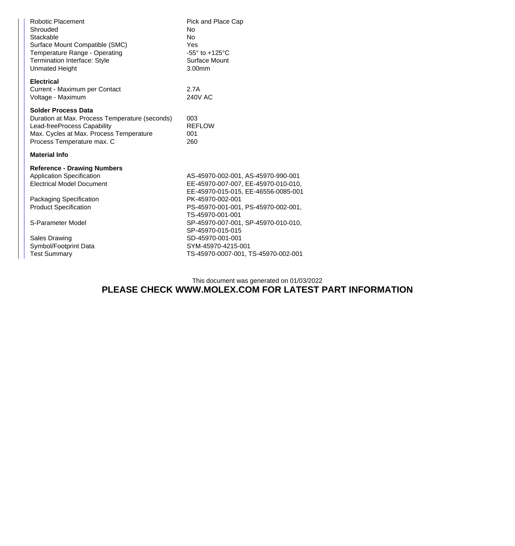| Robotic Placement<br>Shrouded<br>Stackable<br>Surface Mount Compatible (SMC)<br>Temperature Range - Operating<br><b>Termination Interface: Style</b><br><b>Unmated Height</b>        | Pick and Place Cap<br>No.<br>N <sub>o</sub><br>Yes<br>-55° to +125°C<br>Surface Mount<br>3.00mm                                                                             |  |  |  |
|--------------------------------------------------------------------------------------------------------------------------------------------------------------------------------------|-----------------------------------------------------------------------------------------------------------------------------------------------------------------------------|--|--|--|
| <b>Electrical</b><br>Current - Maximum per Contact<br>Voltage - Maximum                                                                                                              | 2.7A<br>240V AC                                                                                                                                                             |  |  |  |
| <b>Solder Process Data</b><br>Duration at Max. Process Temperature (seconds)<br>Lead-freeProcess Capability<br>Max. Cycles at Max. Process Temperature<br>Process Temperature max. C | 003<br><b>REFLOW</b><br>001<br>260                                                                                                                                          |  |  |  |
| <b>Material Info</b>                                                                                                                                                                 |                                                                                                                                                                             |  |  |  |
| <b>Reference - Drawing Numbers</b><br><b>Application Specification</b><br><b>Electrical Model Document</b><br>Packaging Specification<br><b>Product Specification</b>                | AS-45970-002-001, AS-45970-990-001<br>EE-45970-007-007, EE-45970-010-010,<br>EE-45970-015-015, EE-46556-0085-001<br>PK-45970-002-001<br>PS-45970-001-001, PS-45970-002-001, |  |  |  |
| S-Parameter Model                                                                                                                                                                    | TS-45970-001-001<br>SP-45970-007-001, SP-45970-010-010,<br>SP-45970-015-015                                                                                                 |  |  |  |
| <b>Sales Drawing</b>                                                                                                                                                                 | SD-45970-001-001                                                                                                                                                            |  |  |  |
| Symbol/Footprint Data                                                                                                                                                                | SYM-45970-4215-001                                                                                                                                                          |  |  |  |
| <b>Test Summary</b>                                                                                                                                                                  | TS-45970-0007-001, TS-45970-002-001                                                                                                                                         |  |  |  |

## This document was generated on 01/03/2022 **PLEASE CHECK WWW.MOLEX.COM FOR LATEST PART INFORMATION**